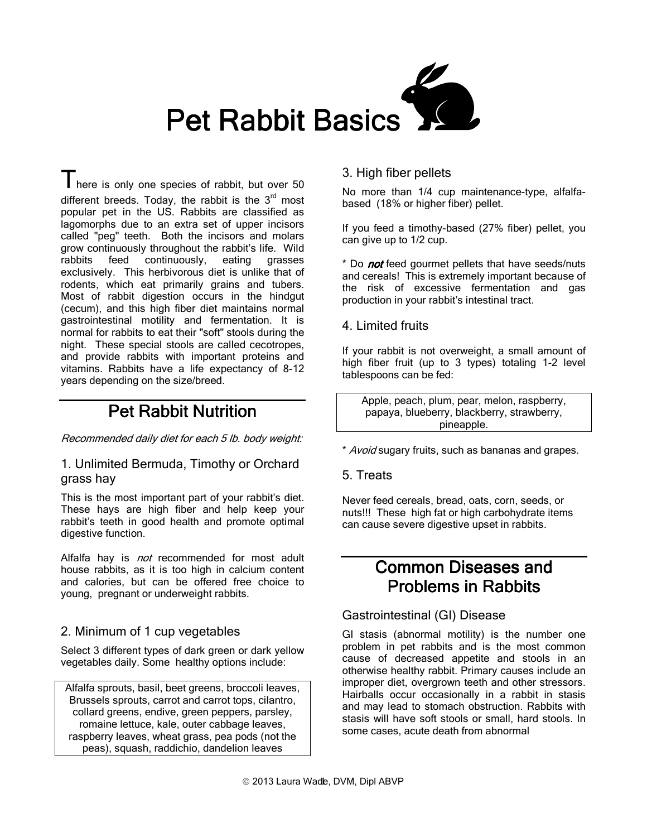

There is only one species of rabbit, but over 50 different breeds. Today, the rabbit is the  $3<sup>rd</sup>$  most popular pet in the US. Rabbits are classified as lagomorphs due to an extra set of upper incisors called "peg" teeth. Both the incisors and molars grow continuously throughout the rabbit's life. Wild rabbits feed continuously, eating grasses exclusively. This herbivorous diet is unlike that of rodents, which eat primarily grains and tubers. Most of rabbit digestion occurs in the hindgut (cecum), and this high fiber diet maintains normal gastrointestinal motility and fermentation. It is normal for rabbits to eat their "soft" stools during the night. These special stools are called cecotropes, and provide rabbits with important proteins and vitamins. Rabbits have a life expectancy of 8-12 years depending on the size/breed.

# **Pet Rabbit Nutrition**

#### Recommended daily diet for each 5 lb. body weight:

#### 1. Unlimited Bermuda, Timothy or Orchard grass hay

This is the most important part of your rabbit's diet. These hays are high fiber and help keep your rabbit's teeth in good health and promote optimal digestive function.

Alfalfa hay is *not* recommended for most adult house rabbits, as it is too high in calcium content and calories, but can be offered free choice to young, pregnant or underweight rabbits.

## 2. Minimum of 1 cup vegetables

Select 3 different types of dark green or dark yellow vegetables daily. Some healthy options include:

Alfalfa sprouts, basil, beet greens, broccoli leaves, Brussels sprouts, carrot and carrot tops, cilantro, collard greens, endive, green peppers, parsley, romaine lettuce, kale, outer cabbage leaves, raspberry leaves, wheat grass, pea pods (not the peas), squash, raddichio, dandelion leaves

## 3. High fiber pellets

No more than 1/4 cup maintenance-type, alfalfabased (18% or higher fiber) pellet.

If you feed a timothy-based (27% fiber) pellet, you can give up to 1/2 cup.

\* Do *not* feed gourmet pellets that have seeds/nuts and cereals! This is extremely important because of the risk of excessive fermentation and gas production in your rabbit's intestinal tract.

#### 4. Limited fruits

If your rabbit is not overweight, a small amount of high fiber fruit (up to 3 types) totaling 1-2 level tablespoons can be fed:

Apple, peach, plum, pear, melon, raspberry, papaya, blueberry, blackberry, strawberry, pineapple.

\* Avoid sugary fruits, such as bananas and grapes.

#### 5. Treats

Never feed cereals, bread, oats, corn, seeds, or nuts!!! These high fat or high carbohydrate items can cause severe digestive upset in rabbits.

# Common Diseases and **Problems in Rabbits**

## Gastrointestinal (GI) Disease

GI stasis (abnormal motility) is the number one problem in pet rabbits and is the most common cause of decreased appetite and stools in an otherwise healthy rabbit. Primary causes include an improper diet, overgrown teeth and other stressors. Hairballs occur occasionally in a rabbit in stasis and may lead to stomach obstruction. Rabbits with stasis will have soft stools or small, hard stools. In some cases, acute death from abnormal